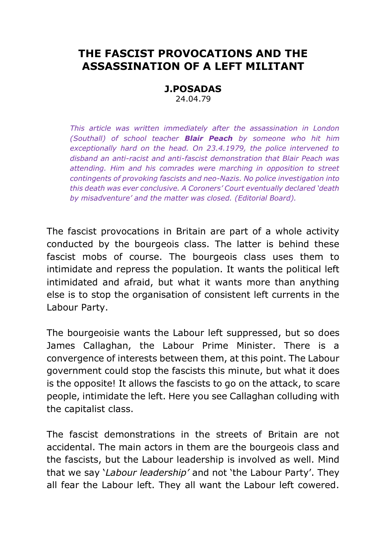## **THE FASCIST PROVOCATIONS AND THE ASSASSINATION OF A LEFT MILITANT**

## **J.POSADAS** 24.04.79

*This article was written immediately after the assassination in London (Southall) of school teacher Blair Peach by someone who hit him exceptionally hard on the head. On 23.4.1979, the police intervened to disband an anti-racist and anti-fascist demonstration that Blair Peach was attending. Him and his comrades were marching in opposition to street contingents of provoking fascists and neo-Nazis. No police investigation into this death was ever conclusive. A Coroners' Court eventually declared 'death by misadventure' and the matter was closed. (Editorial Board).*

The fascist provocations in Britain are part of a whole activity conducted by the bourgeois class. The latter is behind these fascist mobs of course. The bourgeois class uses them to intimidate and repress the population. It wants the political left intimidated and afraid, but what it wants more than anything else is to stop the organisation of consistent left currents in the Labour Party.

The bourgeoisie wants the Labour left suppressed, but so does James Callaghan, the Labour Prime Minister. There is a convergence of interests between them, at this point. The Labour government could stop the fascists this minute, but what it does is the opposite! It allows the fascists to go on the attack, to scare people, intimidate the left. Here you see Callaghan colluding with the capitalist class.

The fascist demonstrations in the streets of Britain are not accidental. The main actors in them are the bourgeois class and the fascists, but the Labour leadership is involved as well. Mind that we say '*Labour leadership'* and not 'the Labour Party'. They all fear the Labour left. They all want the Labour left cowered.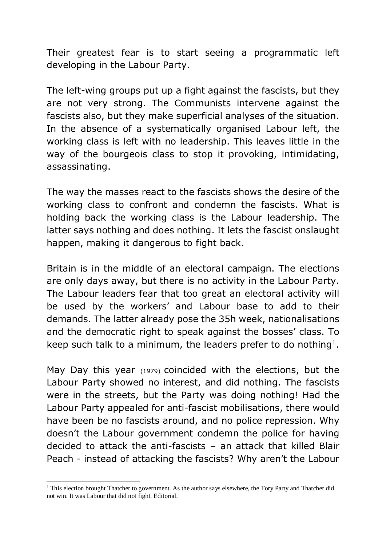Their greatest fear is to start seeing a programmatic left developing in the Labour Party.

The left-wing groups put up a fight against the fascists, but they are not very strong. The Communists intervene against the fascists also, but they make superficial analyses of the situation. In the absence of a systematically organised Labour left, the working class is left with no leadership. This leaves little in the way of the bourgeois class to stop it provoking, intimidating, assassinating.

The way the masses react to the fascists shows the desire of the working class to confront and condemn the fascists. What is holding back the working class is the Labour leadership. The latter says nothing and does nothing. It lets the fascist onslaught happen, making it dangerous to fight back.

Britain is in the middle of an electoral campaign. The elections are only days away, but there is no activity in the Labour Party. The Labour leaders fear that too great an electoral activity will be used by the workers' and Labour base to add to their demands. The latter already pose the 35h week, nationalisations and the democratic right to speak against the bosses' class. To keep such talk to a minimum, the leaders prefer to do nothing<sup>1</sup>.

May Day this year (1979) coincided with the elections, but the Labour Party showed no interest, and did nothing. The fascists were in the streets, but the Party was doing nothing! Had the Labour Party appealed for anti-fascist mobilisations, there would have been be no fascists around, and no police repression. Why doesn't the Labour government condemn the police for having decided to attack the anti-fascists – an attack that killed Blair Peach - instead of attacking the fascists? Why aren't the Labour

-

<sup>&</sup>lt;sup>1</sup> This election brought Thatcher to government. As the author says elsewhere, the Tory Party and Thatcher did not win. It was Labour that did not fight. Editorial.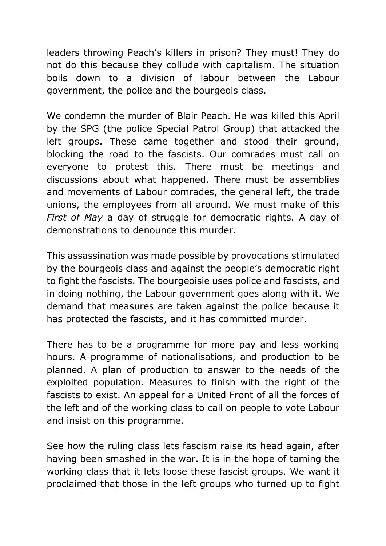leaders throwing Peach's killers in prison? They must! They do not do this because they collude with capitalism. The situation boils down to a division of labour between the Labour government, the police and the bourgeois class.

We condemn the murder of Blair Peach. He was killed this April by the SPG (the police Special Patrol Group) that attacked the left groups. These came together and stood their ground, blocking the road to the fascists. Our comrades must call on everyone to protest this. There must be meetings and discussions about what happened. There must be assemblies and movements of Labour comrades, the general left, the trade unions, the employees from all around. We must make of this *First of May* a day of struggle for democratic rights. A day of demonstrations to denounce this murder.

This assassination was made possible by provocations stimulated by the bourgeois class and against the people's democratic right to fight the fascists. The bourgeoisie uses police and fascists, and in doing nothing, the Labour government goes along with it. We demand that measures are taken against the police because it has protected the fascists, and it has committed murder.

There has to be a programme for more pay and less working hours. A programme of nationalisations, and production to be planned. A plan of production to answer to the needs of the exploited population. Measures to finish with the right of the fascists to exist. An appeal for a United Front of all the forces of the left and of the working class to call on people to vote Labour and insist on this programme.

See how the ruling class lets fascism raise its head again, after having been smashed in the war. It is in the hope of taming the working class that it lets loose these fascist groups. We want it proclaimed that those in the left groups who turned up to fight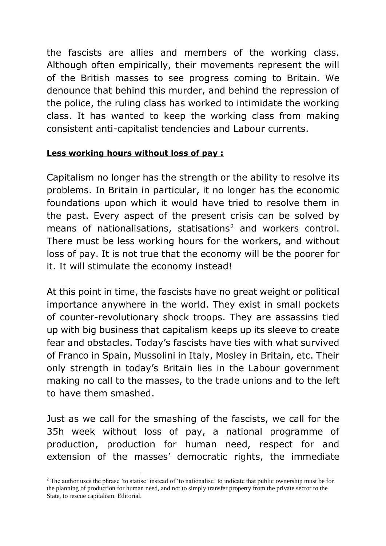the fascists are allies and members of the working class. Although often empirically, their movements represent the will of the British masses to see progress coming to Britain. We denounce that behind this murder, and behind the repression of the police, the ruling class has worked to intimidate the working class. It has wanted to keep the working class from making consistent anti-capitalist tendencies and Labour currents.

## **Less working hours without loss of pay :**

Capitalism no longer has the strength or the ability to resolve its problems. In Britain in particular, it no longer has the economic foundations upon which it would have tried to resolve them in the past. Every aspect of the present crisis can be solved by means of nationalisations, statisations<sup>2</sup> and workers control. There must be less working hours for the workers, and without loss of pay. It is not true that the economy will be the poorer for it. It will stimulate the economy instead!

At this point in time, the fascists have no great weight or political importance anywhere in the world. They exist in small pockets of counter-revolutionary shock troops. They are assassins tied up with big business that capitalism keeps up its sleeve to create fear and obstacles. Today's fascists have ties with what survived of Franco in Spain, Mussolini in Italy, Mosley in Britain, etc. Their only strength in today's Britain lies in the Labour government making no call to the masses, to the trade unions and to the left to have them smashed.

Just as we call for the smashing of the fascists, we call for the 35h week without loss of pay, a national programme of production, production for human need, respect for and extension of the masses' democratic rights, the immediate

 $\overline{a}$ 

<sup>&</sup>lt;sup>2</sup> The author uses the phrase 'to statise' instead of 'to nationalise' to indicate that public ownership must be for the planning of production for human need, and not to simply transfer property from the private sector to the State, to rescue capitalism. Editorial.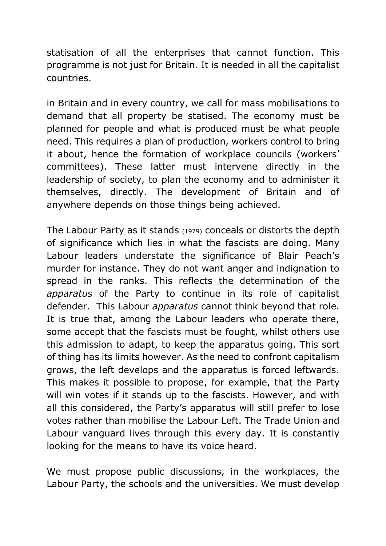statisation of all the enterprises that cannot function. This programme is not just for Britain. It is needed in all the capitalist countries.

in Britain and in every country, we call for mass mobilisations to demand that all property be statised. The economy must be planned for people and what is produced must be what people need. This requires a plan of production, workers control to bring it about, hence the formation of workplace councils (workers' committees). These latter must intervene directly in the leadership of society, to plan the economy and to administer it themselves, directly. The development of Britain and of anywhere depends on those things being achieved.

The Labour Party as it stands (1979) conceals or distorts the depth of significance which lies in what the fascists are doing. Many Labour leaders understate the significance of Blair Peach's murder for instance. They do not want anger and indignation to spread in the ranks. This reflects the determination of the *apparatus* of the Party to continue in its role of capitalist defender. This Labour *apparatus* cannot think beyond that role. It is true that, among the Labour leaders who operate there, some accept that the fascists must be fought, whilst others use this admission to adapt, to keep the apparatus going. This sort of thing has its limits however. As the need to confront capitalism grows, the left develops and the apparatus is forced leftwards. This makes it possible to propose, for example, that the Party will win votes if it stands up to the fascists. However, and with all this considered, the Party's apparatus will still prefer to lose votes rather than mobilise the Labour Left. The Trade Union and Labour vanguard lives through this every day. It is constantly looking for the means to have its voice heard.

We must propose public discussions, in the workplaces, the Labour Party, the schools and the universities. We must develop